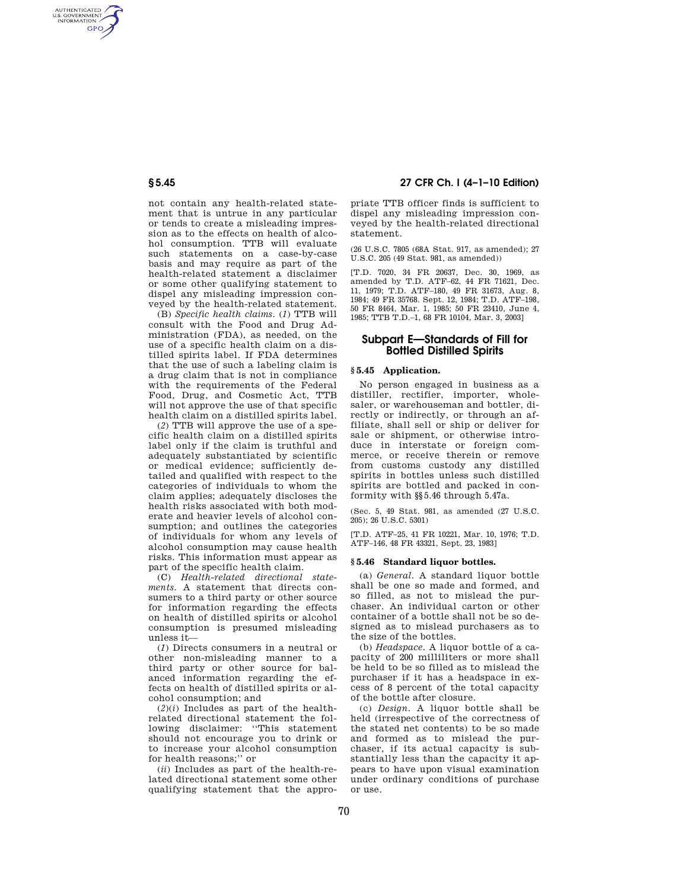AUTHENTICATED<br>U.S. GOVERNMENT<br>INFORMATION **GPO** 

> not contain any health-related statement that is untrue in any particular or tends to create a misleading impression as to the effects on health of alcohol consumption. TTB will evaluate such statements on a case-by-case basis and may require as part of the health-related statement a disclaimer or some other qualifying statement to dispel any misleading impression conveyed by the health-related statement.

> (B) *Specific health claims.* (*1*) TTB will consult with the Food and Drug Administration (FDA), as needed, on the use of a specific health claim on a distilled spirits label. If FDA determines that the use of such a labeling claim is a drug claim that is not in compliance with the requirements of the Federal Food, Drug, and Cosmetic Act, TTB will not approve the use of that specific health claim on a distilled spirits label.

> (*2*) TTB will approve the use of a specific health claim on a distilled spirits label only if the claim is truthful and adequately substantiated by scientific or medical evidence; sufficiently detailed and qualified with respect to the categories of individuals to whom the claim applies; adequately discloses the health risks associated with both moderate and heavier levels of alcohol consumption; and outlines the categories of individuals for whom any levels of alcohol consumption may cause health risks. This information must appear as part of the specific health claim.

> (C) *Health-related directional statements.* A statement that directs consumers to a third party or other source for information regarding the effects on health of distilled spirits or alcohol consumption is presumed misleading unless it—

> (*1*) Directs consumers in a neutral or other non-misleading manner to a third party or other source for balanced information regarding the effects on health of distilled spirits or alcohol consumption; and

> $(2)(i)$  Includes as part of the healthrelated directional statement the following disclaimer: ''This statement should not encourage you to drink or to increase your alcohol consumption for health reasons;'' or

> (*ii*) Includes as part of the health-related directional statement some other qualifying statement that the appro-

# **§ 5.45 27 CFR Ch. I (4–1–10 Edition)**

priate TTB officer finds is sufficient to dispel any misleading impression conveyed by the health-related directional statement.

(26 U.S.C. 7805 (68A Stat. 917, as amended); 27 U.S.C. 205 (49 Stat. 981, as amended))

[T.D. 7020, 34 FR 20637, Dec. 30, 1969, as amended by T.D. ATF–62, 44 FR 71621, Dec. 11, 1979; T.D. ATF–180, 49 FR 31673, Aug. 8, 1984; 49 FR 35768. Sept. 12, 1984; T.D. ATF–198, 50 FR 8464, Mar. 1, 1985; 50 FR 23410, June 4, 1985; TTB T.D.–1, 68 FR 10104, Mar. 3, 2003]

# **Subpart E—Standards of Fill for Bottled Distilled Spirits**

## **§ 5.45 Application.**

No person engaged in business as a distiller, rectifier, importer, wholesaler, or warehouseman and bottler, directly or indirectly, or through an affiliate, shall sell or ship or deliver for sale or shipment, or otherwise introduce in interstate or foreign commerce, or receive therein or remove from customs custody any distilled spirits in bottles unless such distilled spirits are bottled and packed in conformity with §§5.46 through 5.47a.

(Sec. 5, 49 Stat. 981, as amended (27 U.S.C. 205); 26 U.S.C. 5301)

[T.D. ATF–25, 41 FR 10221, Mar. 10, 1976; T.D. ATF–146, 48 FR 43321, Sept. 23, 1983]

#### **§ 5.46 Standard liquor bottles.**

(a) *General.* A standard liquor bottle shall be one so made and formed, and so filled, as not to mislead the purchaser. An individual carton or other container of a bottle shall not be so designed as to mislead purchasers as to the size of the bottles.

(b) *Headspace.* A liquor bottle of a capacity of 200 milliliters or more shall be held to be so filled as to mislead the purchaser if it has a headspace in excess of 8 percent of the total capacity of the bottle after closure.

(c) *Design.* A liquor bottle shall be held (irrespective of the correctness of the stated net contents) to be so made and formed as to mislead the purchaser, if its actual capacity is substantially less than the capacity it appears to have upon visual examination under ordinary conditions of purchase or use.